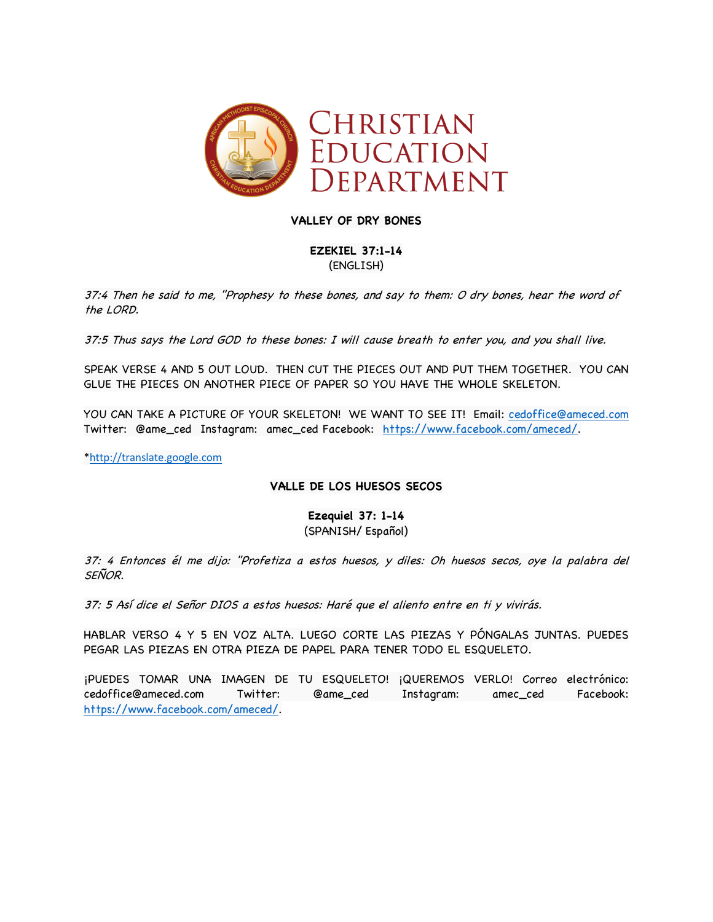

# **VALLEY OF DRY BONES**

**EZEKIEL 37:1-14** (ENGLISH)

37:4 Then he said to me, "Prophesy to these bones, and say to them: O dry bones, hear the word of the LORD.

37:5 Thus says the Lord GOD to these bones: I will cause breath to enter you, and you shall live.

SPEAK VERSE 4 AND 5 OUT LOUD. THEN CUT THE PIECES OUT AND PUT THEM TOGETHER. YOU CAN GLUE THE PIECES ON ANOTHER PIECE OF PAPER SO YOU HAVE THE WHOLE SKELETON.

YOU CAN TAKE A PICTURE OF YOUR SKELETON! WE WANT TO SEE IT! Email: cedoffice@ameced.com Twitter: @ame\_ced Instagram: amec\_ced Facebook: https://www.facebook.com/ameced/.

\*http://translate.google.com

# **VALLE DE LOS HUESOS SECOS**

**Ezequiel 37: 1-14** (SPANISH/ Español)

37: 4 Entonces él me dijo: "Profetiza a estos huesos, y diles: Oh huesos secos, oye la palabra del SEÑOR.

37: 5 Así dice el Señor DIOS a estos huesos: Haré que el aliento entre en ti y vivirás.

HABLAR VERSO 4 Y 5 EN VOZ ALTA. LUEGO CORTE LAS PIEZAS Y PÓNGALAS JUNTAS. PUEDES PEGAR LAS PIEZAS EN OTRA PIEZA DE PAPEL PARA TENER TODO EL ESQUELETO.

¡PUEDES TOMAR UNA IMAGEN DE TU ESQUELETO! ¡QUEREMOS VERLO! Correo electrónico: cedoffice@ameced.com Twitter: @ame\_ced Instagram: amec\_ced Facebook: https://www.facebook.com/ameced/.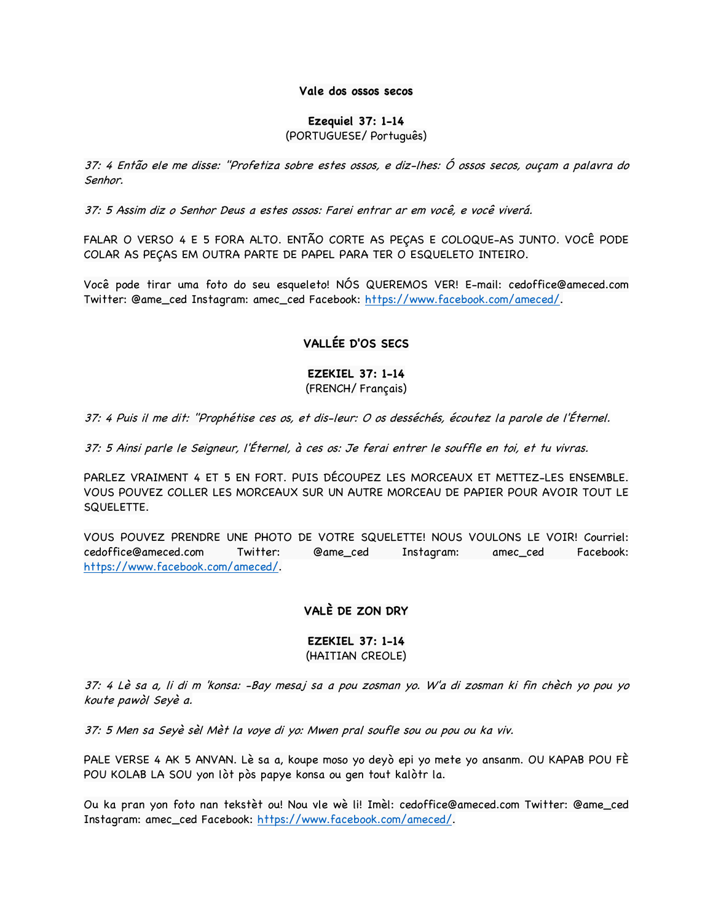#### **Vale dos ossos secos**

#### **Ezequiel 37: 1-14**

# (PORTUGUESE/ Português)

37: 4 Então ele me disse: "Profetiza sobre estes ossos, e diz-lhes: Ó ossos secos, ouçam a palavra do Senhor.

37: 5 Assim diz o Senhor Deus a estes ossos: Farei entrar ar em você, e você viverá.

FALAR O VERSO 4 E 5 FORA ALTO. ENTÃO CORTE AS PEÇAS E COLOQUE-AS JUNTO. VOCÊ PODE COLAR AS PEÇAS EM OUTRA PARTE DE PAPEL PARA TER O ESQUELETO INTEIRO.

Você pode tirar uma foto do seu esqueleto! NÓS QUEREMOS VER! E-mail: cedoffice@ameced.com Twitter: @ame\_ced Instagram: amec\_ced Facebook: https://www.facebook.com/ameced/.

# **VALLÉE D'OS SECS**

# **EZEKIEL 37: 1-14** (FRENCH/ Français)

37: 4 Puis il me dit: "Prophétise ces os, et dis-leur: O os desséchés, écoutez la parole de l'Éternel.

37: 5 Ainsi parle le Seigneur, l'Éternel, à ces os: Je ferai entrer le souffle en toi, et tu vivras.

PARLEZ VRAIMENT 4 ET 5 EN FORT. PUIS DÉCOUPEZ LES MORCEAUX ET METTEZ-LES ENSEMBLE. VOUS POUVEZ COLLER LES MORCEAUX SUR UN AUTRE MORCEAU DE PAPIER POUR AVOIR TOUT LE SQUELETTE.

VOUS POUVEZ PRENDRE UNE PHOTO DE VOTRE SQUELETTE! NOUS VOULONS LE VOIR! Courriel: cedoffice@ameced.com Twitter: @ame\_ced Instagram: amec\_ced Facebook: https://www.facebook.com/ameced/.

# **VALÈ DE ZON DRY**

# **EZEKIEL 37: 1-14** (HAITIAN CREOLE)

37: 4 Lè sa a, li di m 'konsa: -Bay mesaj sa a pou zosman yo. W'a di zosman ki fin chèch yo pou yo koute pawòl Seyè a.

37: 5 Men sa Seyè sèl Mèt la voye di yo: Mwen pral soufle sou ou pou ou ka viv.

PALE VERSE 4 AK 5 ANVAN. Lè sa a, koupe moso yo deyò epi yo mete yo ansanm. OU KAPAB POU FÈ POU KOLAB LA SOU yon lòt pòs papye konsa ou gen tout kalòtr la.

Ou ka pran yon foto nan tekstèt ou! Nou vle wè li! Imèl: cedoffice@ameced.com Twitter: @ame\_ced Instagram: amec\_ced Facebook: https://www.facebook.com/ameced/.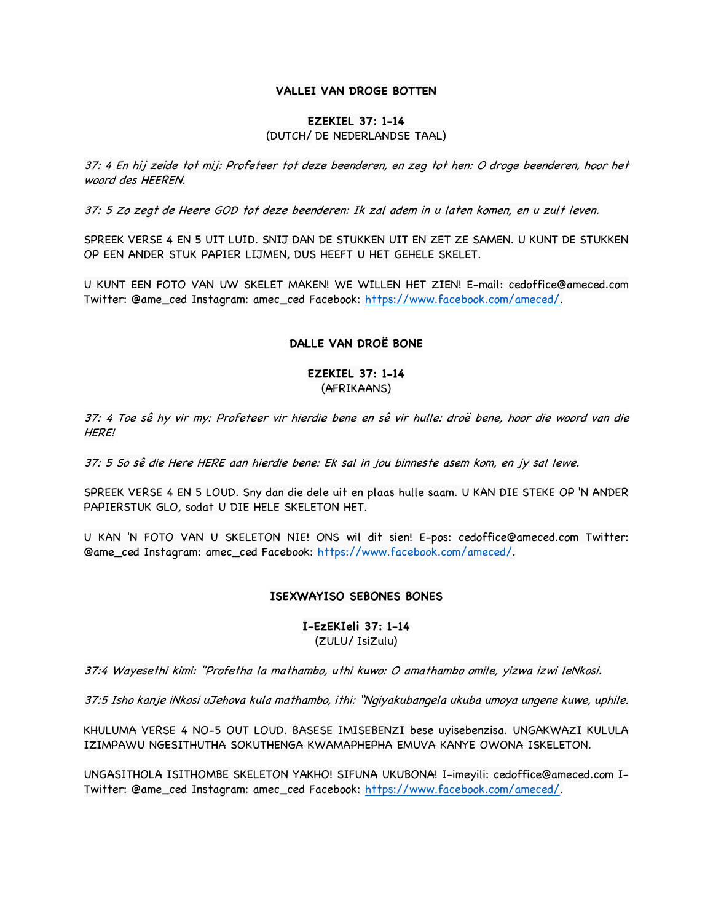#### **VALLEI VAN DROGE BOTTEN**

#### **EZEKIEL 37: 1-14**

### (DUTCH/ DE NEDERLANDSE TAAL)

37: 4 En hij zeide tot mij: Profeteer tot deze beenderen, en zeg tot hen: O droge beenderen, hoor het woord des HEEREN.

37: 5 Zo zegt de Heere GOD tot deze beenderen: Ik zal adem in u laten komen, en u zult leven.

SPREEK VERSE 4 EN 5 UIT LUID. SNIJ DAN DE STUKKEN UIT EN ZET ZE SAMEN. U KUNT DE STUKKEN OP EEN ANDER STUK PAPIER LIJMEN, DUS HEEFT U HET GEHELE SKELET.

U KUNT EEN FOTO VAN UW SKELET MAKEN! WE WILLEN HET ZIEN! E-mail: cedoffice@ameced.com Twitter: @ame\_ced Instagram: amec\_ced Facebook: https://www.facebook.com/ameced/.

# **DALLE VAN DROË BONE**

### **EZEKIEL 37: 1-14** (AFRIKAANS)

37: 4 Toe sê hy vir my: Profeteer vir hierdie bene en sê vir hulle: droë bene, hoor die woord van die HERE!

37: 5 So sê die Here HERE aan hierdie bene: Ek sal in jou binneste asem kom, en jy sal lewe.

SPREEK VERSE 4 EN 5 LOUD. Sny dan die dele uit en plaas hulle saam. U KAN DIE STEKE OP 'N ANDER PAPIERSTUK GLO, sodat U DIE HELE SKELETON HET.

U KAN 'N FOTO VAN U SKELETON NIE! ONS wil dit sien! E-pos: cedoffice@ameced.com Twitter: @ame\_ced Instagram: amec\_ced Facebook: https://www.facebook.com/ameced/.

#### **ISEXWAYISO SEBONES BONES**

#### **I-EzEKIeli 37: 1-14** (ZULU/ IsiZulu)

37:4 Wayesethi kimi: "Profetha la mathambo, uthi kuwo: O amathambo omile, yizwa izwi leNkosi.

37:5 Isho kanje iNkosi uJehova kula mathambo, ithi: "Ngiyakubangela ukuba umoya ungene kuwe, uphile.

KHULUMA VERSE 4 NO-5 OUT LOUD. BASESE IMISEBENZI bese uyisebenzisa. UNGAKWAZI KULULA IZIMPAWU NGESITHUTHA SOKUTHENGA KWAMAPHEPHA EMUVA KANYE OWONA ISKELETON.

UNGASITHOLA ISITHOMBE SKELETON YAKHO! SIFUNA UKUBONA! I-imeyili: cedoffice@ameced.com I-Twitter: @ame\_ced Instagram: amec\_ced Facebook: https://www.facebook.com/ameced/.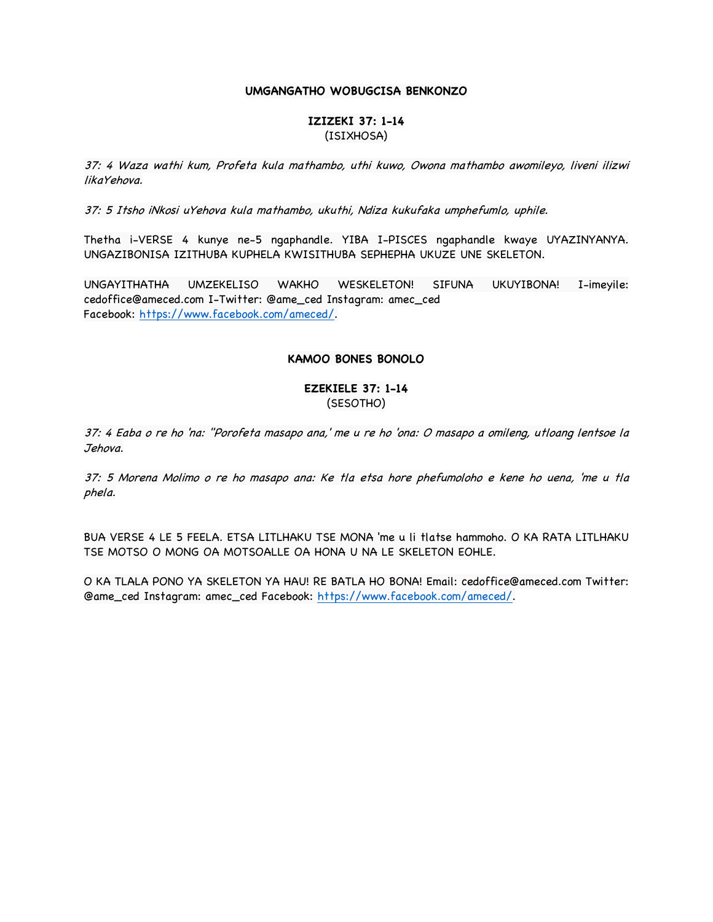#### **UMGANGATHO WOBUGCISA BENKONZO**

#### **IZIZEKI 37: 1-14** (ISIXHOSA)

37: 4 Waza wathi kum, Profeta kula mathambo, uthi kuwo, Owona mathambo awomileyo, liveni ilizwi likaYehova.

37: 5 Itsho iNkosi uYehova kula mathambo, ukuthi, Ndiza kukufaka umphefumlo, uphile.

Thetha i-VERSE 4 kunye ne-5 ngaphandle. YIBA I-PISCES ngaphandle kwaye UYAZINYANYA. UNGAZIBONISA IZITHUBA KUPHELA KWISITHUBA SEPHEPHA UKUZE UNE SKELETON.

UNGAYITHATHA UMZEKELISO WAKHO WESKELETON! SIFUNA UKUYIBONA! I-imeyile: cedoffice@ameced.com I-Twitter: @ame\_ced Instagram: amec\_ced Facebook: https://www.facebook.com/ameced/.

### **KAMOO BONES BONOLO**

### **EZEKIELE 37: 1-14** (SESOTHO)

37: 4 Eaba o re ho 'na: "Porofeta masapo ana,' me u re ho 'ona: O masapo a omileng, utloang lentsoe la Jehova.

37: 5 Morena Molimo o re ho masapo ana: Ke tla etsa hore phefumoloho e kene ho uena, 'me u tla phela.

BUA VERSE 4 LE 5 FEELA. ETSA LITLHAKU TSE MONA 'me u li tlatse hammoho. O KA RATA LITLHAKU TSE MOTSO O MONG OA MOTSOALLE OA HONA U NA LE SKELETON EOHLE.

O KA TLALA PONO YA SKELETON YA HAU! RE BATLA HO BONA! Email: cedoffice@ameced.com Twitter: @ame\_ced Instagram: amec\_ced Facebook: https://www.facebook.com/ameced/.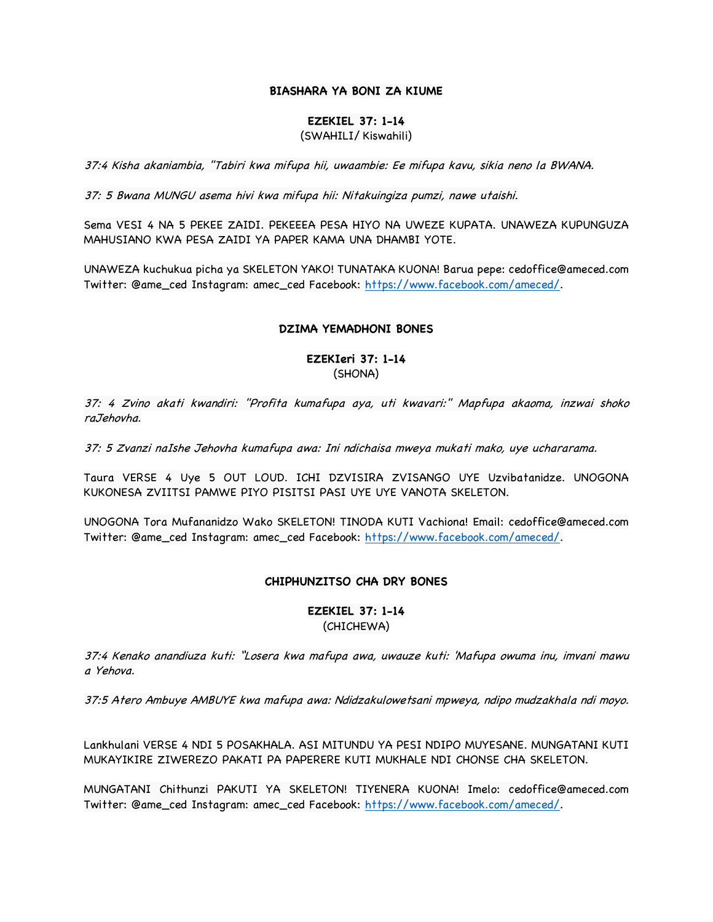# **BIASHARA YA BONI ZA KIUME**

#### **EZEKIEL 37: 1-14**

#### (SWAHILI/ Kiswahili)

37:4 Kisha akaniambia, "Tabiri kwa mifupa hii, uwaambie: Ee mifupa kavu, sikia neno la BWANA.

37: 5 Bwana MUNGU asema hivi kwa mifupa hii: Nitakuingiza pumzi, nawe utaishi.

Sema VESI 4 NA 5 PEKEE ZAIDI. PEKEEEA PESA HIYO NA UWEZE KUPATA. UNAWEZA KUPUNGUZA MAHUSIANO KWA PESA ZAIDI YA PAPER KAMA UNA DHAMBI YOTE.

UNAWEZA kuchukua picha ya SKELETON YAKO! TUNATAKA KUONA! Barua pepe: cedoffice@ameced.com Twitter: @ame\_ced Instagram: amec\_ced Facebook: https://www.facebook.com/ameced/.

#### **DZIMA YEMADHONI BONES**

### **EZEKIeri 37: 1-14** (SHONA)

37: 4 Zvino akati kwandiri: "Profita kumafupa aya, uti kwavari:" Mapfupa akaoma, inzwai shoko raJehovha.

37: 5 Zvanzi naIshe Jehovha kumafupa awa: Ini ndichaisa mweya mukati mako, uye uchararama.

Taura VERSE 4 Uye 5 OUT LOUD. ICHI DZVISIRA ZVISANGO UYE Uzvibatanidze. UNOGONA KUKONESA ZVIITSI PAMWE PIYO PISITSI PASI UYE UYE VANOTA SKELETON.

UNOGONA Tora Mufananidzo Wako SKELETON! TINODA KUTI Vachiona! Email: cedoffice@ameced.com Twitter: @ame\_ced Instagram: amec\_ced Facebook: https://www.facebook.com/ameced/.

#### **CHIPHUNZITSO CHA DRY BONES**

#### **EZEKIEL 37: 1-14** (CHICHEWA)

37:4 Kenako anandiuza kuti: "Losera kwa mafupa awa, uwauze kuti: 'Mafupa owuma inu, imvani mawu a Yehova.

37:5 Atero Ambuye AMBUYE kwa mafupa awa: Ndidzakulowetsani mpweya, ndipo mudzakhala ndi moyo.

Lankhulani VERSE 4 NDI 5 POSAKHALA. ASI MITUNDU YA PESI NDIPO MUYESANE. MUNGATANI KUTI MUKAYIKIRE ZIWEREZO PAKATI PA PAPERERE KUTI MUKHALE NDI CHONSE CHA SKELETON.

MUNGATANI Chithunzi PAKUTI YA SKELETON! TIYENERA KUONA! Imelo: cedoffice@ameced.com Twitter: @ame\_ced Instagram: amec\_ced Facebook: https://www.facebook.com/ameced/.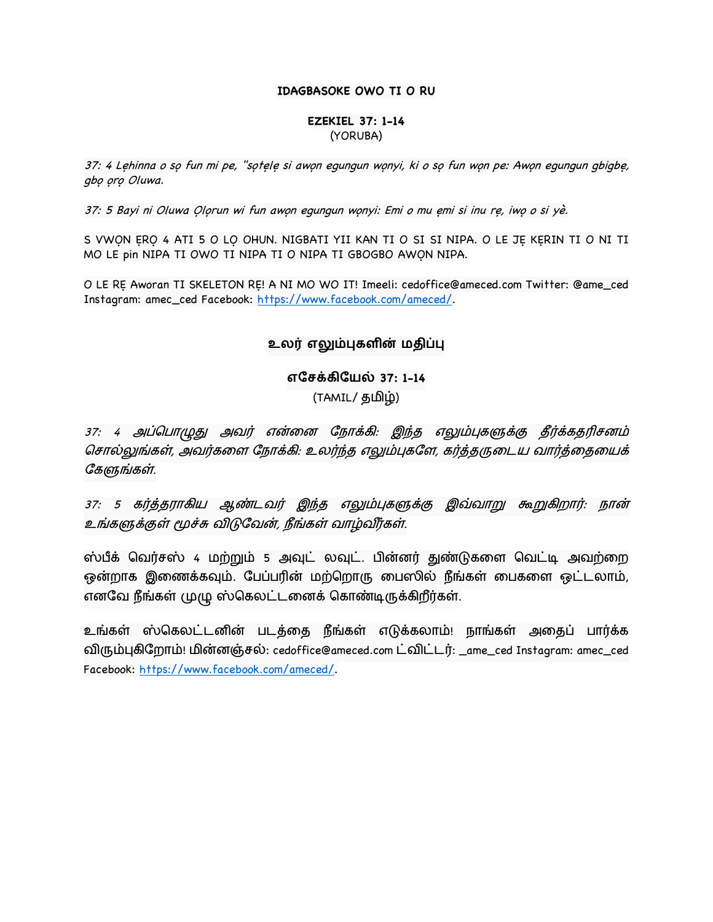### **IDAGBASOKE OWO TI O RU**

### **EZEKIEL 37: 1-14** (YORUBA)

37: 4 Lẹhinna o sọ fun mi pe, "sọtele si awọn equnqun wọnyi, ki o sọ fun wọn pe: Awọn equnqun qbiqbẹ, gbo oro Oluwa.

37: 5 Bayi ni Oluwa Ọlọrun wi fun awọn egungun wọnyi: Emi o mu ẹmi si inu rẹ, iwọ o si yè.

S VWON ERO 4 ATI 5 O LO OHUN. NIGBATI YII KAN TI O SI SI NIPA. O LE JE KERIN TI O NI TI MO LE pin NIPA TI OWO TI NIPA TI O NIPA TI GBOGBO AWỌN NIPA.

O LE RẸ Aworan TI SKELETON RẸ! A NI MO WO IT! Imeeli: cedoffice@ameced.com Twitter: @ame\_ced Instagram: amec\_ced Facebook: https://www.facebook.com/ameced/.

# $\underline{\textbf{e}}$ லர் எலும்புகளின் மதிப்பு

**எேச2கிேய4 37: 1-14** (TAMIL/ தமிழ்)

37: 4 அப்பொழுது அவர் என்னை நோக்கி: இந்த எலும்புகளுக்கு தீர்க்கதரிசனம் சொல்லுங்கள், அவர்களை நோக்கி: உலர்ந்த எலும்புகளே, கர்த்தருடைய வார்த்தையைக் கேளுங்கள்.

37: 5 கர்த்தராகிய ஆண்டவர் இந்த எலும்புகளுக்கு இவ்வாறு கூறுகிறார்: நான் உங்களுக்குள் மூச்சு விடுவேன், நீங்கள் வாழ்வீர்கள்.

ஸ்பீக் வெர்சஸ் 4 மற்றும் 5 அவுட் லவுட். பின்னர் துண்டுகளை வெட்டி அவற்றை ஒன்றாக இணைக்கவும். பேப்பரின் மற்றொரு பைஸில் நீங்கள் பைகளை ஒட்டலாம், எனவே நீங்கள் முழு ஸ்கெலட்டனைக் கொண்டிருக்கிறீர்கள்.

உங்கள் ஸ்கெலட்டனின் படத்தை நீங்கள் எடுக்கலாம்! நாங்கள் அதைப் பார்க்க விரும்புகிறோம்! மின்னஞ்சல்: cedoffice@ameced.com ட்விட்டர்: \_ame\_ced Instagram: amec\_ced Facebook: https://www.facebook.com/ameced/.